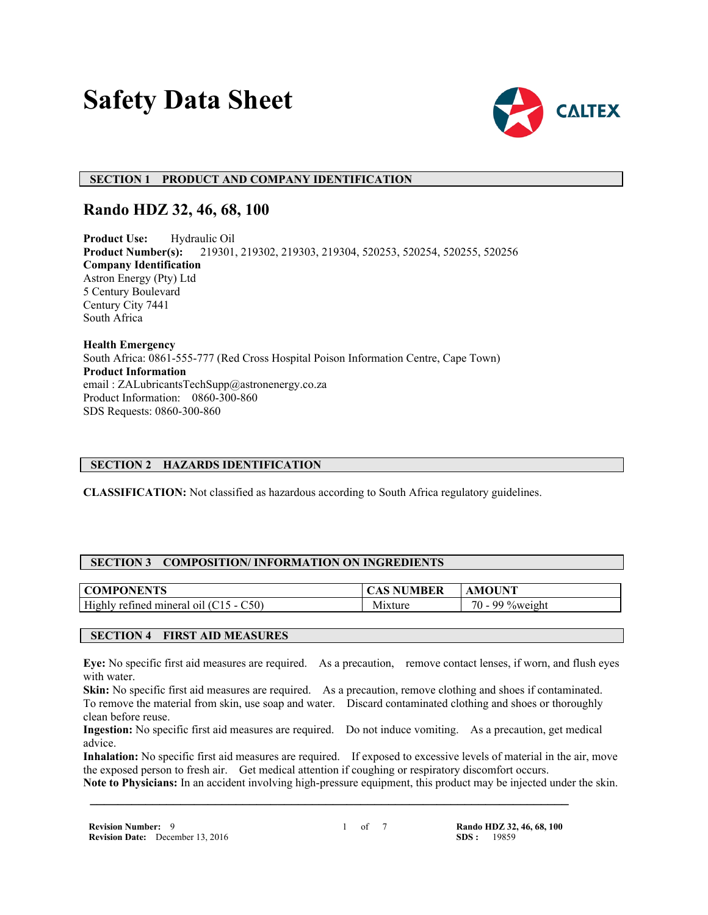# **Safety Data Sheet**



# **SECTION 1 PRODUCT AND COMPANY IDENTIFICATION**

# **Rando HDZ 32, 46, 68, 100**

**Product Use:** Hydraulic Oil **Product Number(s):** 219301, 219302, 219303, 219304, 520253, 520254, 520255, 520256 **Company Identification** Astron Energy (Pty) Ltd 5 Century Boulevard Century City 7441 South Africa

**Health Emergency** South Africa: 0861-555-777 (Red Cross Hospital Poison Information Centre, Cape Town) **Product Information** email : ZALubricantsTechSupp@astronenergy.co.za Product Information: 0860-300-860 SDS Requests: 0860-300-860

#### **SECTION 2 HAZARDS IDENTIFICATION**

**CLASSIFICATION:** Not classified as hazardous according to South Africa regulatory guidelines.

#### **SECTION 3 COMPOSITION/ INFORMATION ON INGREDIENTS**

| ONENTS                                                     |                                            | OUNT                                                           |
|------------------------------------------------------------|--------------------------------------------|----------------------------------------------------------------|
| NI PI                                                      | 5 E K                                      | M1                                                             |
| High<br>C50)<br>retined<br>mineral<br>$\Omega$<br>.<br>- - | . .<br><b><i><u>Property</u></i></b><br>NЛ | $70 -$<br>$\sim$<br>$\alpha$ ov<br>,,,,, <i>,</i> ,,,<br>⁄∩\\/ |

#### **SECTION 4 FIRST AID MEASURES**

**Eye:** No specific first aid measures are required. As a precaution, remove contact lenses, if worn, and flush eyes with water.

**Skin:** No specific first aid measures are required. As a precaution, remove clothing and shoes if contaminated. To remove the material from skin, use soap and water. Discard contaminated clothing and shoes or thoroughly clean before reuse.

**Ingestion:** No specific first aid measures are required. Do not induce vomiting. As a precaution, get medical advice.

**Inhalation:** No specific first aid measures are required. If exposed to excessive levels of material in the air, move the exposed person to fresh air. Get medical attention if coughing or respiratory discomfort occurs.

**Note to Physicians:** In an accident involving high-pressure equipment, this product may be injected under the skin.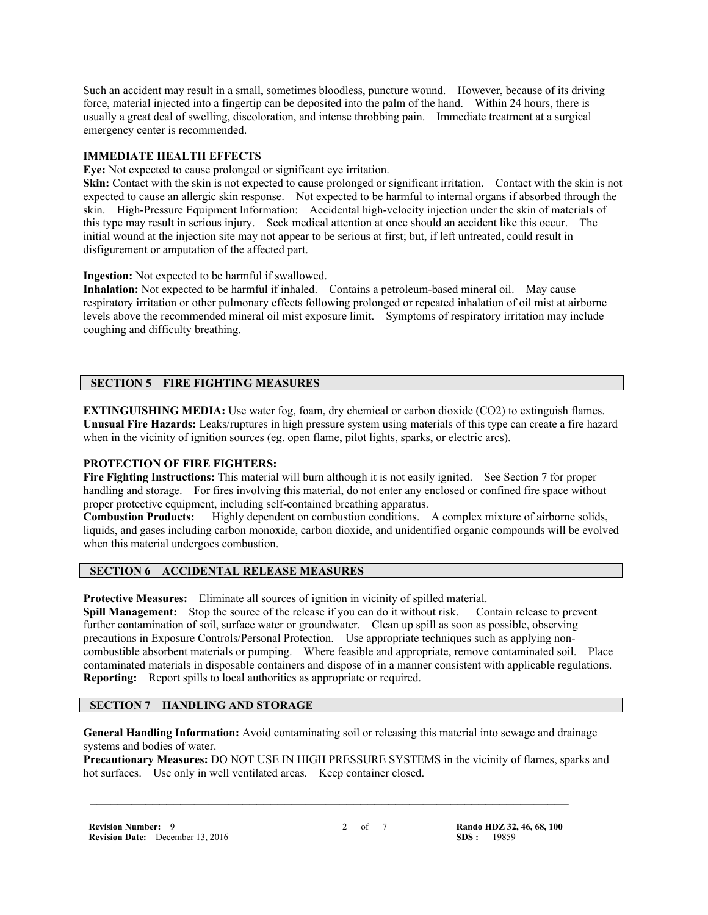Such an accident may result in a small, sometimes bloodless, puncture wound. However, because of its driving force, material injected into a fingertip can be deposited into the palm of the hand. Within 24 hours, there is usually a great deal of swelling, discoloration, and intense throbbing pain. Immediate treatment at a surgical emergency center is recommended.

#### **IMMEDIATE HEALTH EFFECTS**

**Eye:** Not expected to cause prolonged or significant eye irritation.

**Skin:** Contact with the skin is not expected to cause prolonged or significant irritation. Contact with the skin is not expected to cause an allergic skin response. Not expected to be harmful to internal organs if absorbed through the skin. High-Pressure Equipment Information: Accidental high-velocity injection under the skin of materials of this type may result in serious injury. Seek medical attention at once should an accident like this occur. The initial wound at the injection site may not appear to be serious at first; but, if left untreated, could result in disfigurement or amputation of the affected part.

**Ingestion:** Not expected to be harmful if swallowed.

**Inhalation:** Not expected to be harmful if inhaled. Contains a petroleum-based mineral oil. May cause respiratory irritation or other pulmonary effects following prolonged or repeated inhalation of oil mist at airborne levels above the recommended mineral oil mist exposure limit. Symptoms of respiratory irritation may include coughing and difficulty breathing.

#### **SECTION 5 FIRE FIGHTING MEASURES**

**EXTINGUISHING MEDIA:** Use water fog, foam, dry chemical or carbon dioxide (CO2) to extinguish flames. **Unusual Fire Hazards:** Leaks/ruptures in high pressure system using materials of this type can create a fire hazard when in the vicinity of ignition sources (eg. open flame, pilot lights, sparks, or electric arcs).

#### **PROTECTION OF FIRE FIGHTERS:**

**Fire Fighting Instructions:** This material will burn although it is not easily ignited. See Section 7 for proper handling and storage. For fires involving this material, do not enter any enclosed or confined fire space without proper protective equipment, including self-contained breathing apparatus.

**Combustion Products:** Highly dependent on combustion conditions. A complex mixture of airborne solids, liquids, and gases including carbon monoxide, carbon dioxide, and unidentified organic compounds will be evolved when this material undergoes combustion.

#### **SECTION 6 ACCIDENTAL RELEASE MEASURES**

**Protective Measures:** Eliminate all sources of ignition in vicinity of spilled material.

**Spill Management:** Stop the source of the release if you can do it without risk. Contain release to prevent further contamination of soil, surface water or groundwater. Clean up spill as soon as possible, observing precautions in Exposure Controls/Personal Protection. Use appropriate techniques such as applying noncombustible absorbent materials or pumping. Where feasible and appropriate, remove contaminated soil. Place contaminated materials in disposable containers and dispose of in a manner consistent with applicable regulations. **Reporting:** Report spills to local authorities as appropriate or required.

# **SECTION 7 HANDLING AND STORAGE**

**General Handling Information:** Avoid contaminating soil or releasing this material into sewage and drainage systems and bodies of water.

 **\_\_\_\_\_\_\_\_\_\_\_\_\_\_\_\_\_\_\_\_\_\_\_\_\_\_\_\_\_\_\_\_\_\_\_\_\_\_\_\_\_\_\_\_\_\_\_\_\_\_\_\_\_\_\_\_\_\_\_\_\_\_\_\_\_\_\_\_\_**

**Precautionary Measures:** DO NOT USE IN HIGH PRESSURE SYSTEMS in the vicinity of flames, sparks and hot surfaces. Use only in well ventilated areas. Keep container closed.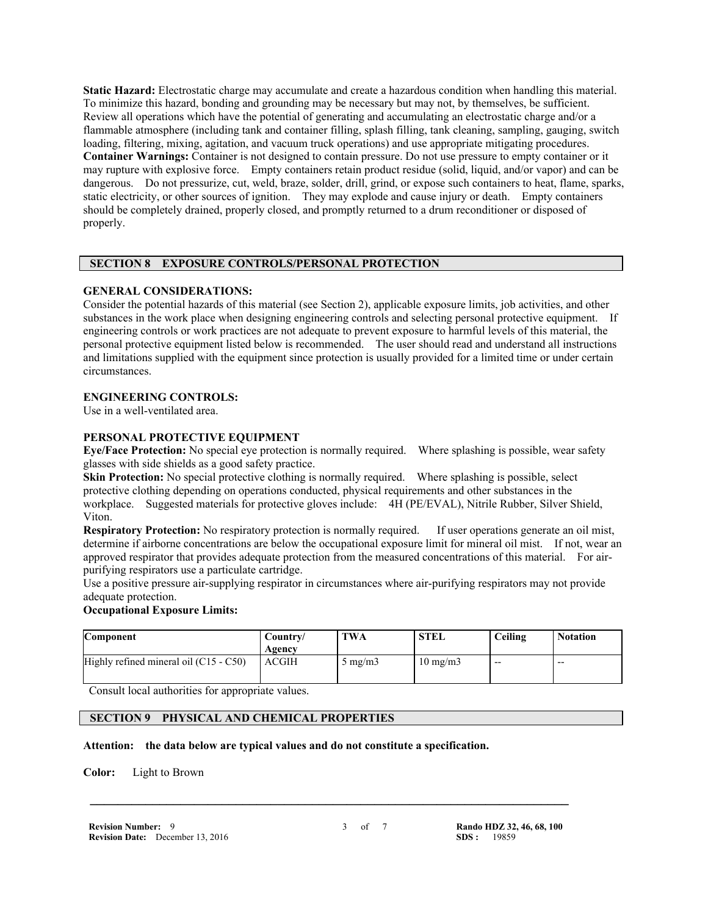**Static Hazard:** Electrostatic charge may accumulate and create a hazardous condition when handling this material. To minimize this hazard, bonding and grounding may be necessary but may not, by themselves, be sufficient. Review all operations which have the potential of generating and accumulating an electrostatic charge and/or a flammable atmosphere (including tank and container filling, splash filling, tank cleaning, sampling, gauging, switch loading, filtering, mixing, agitation, and vacuum truck operations) and use appropriate mitigating procedures. **Container Warnings:** Container is not designed to contain pressure. Do not use pressure to empty container or it may rupture with explosive force. Empty containers retain product residue (solid, liquid, and/or vapor) and can be dangerous. Do not pressurize, cut, weld, braze, solder, drill, grind, or expose such containers to heat, flame, sparks, static electricity, or other sources of ignition. They may explode and cause injury or death. Empty containers should be completely drained, properly closed, and promptly returned to a drum reconditioner or disposed of properly.

# **SECTION 8 EXPOSURE CONTROLS/PERSONAL PROTECTION**

#### **GENERAL CONSIDERATIONS:**

Consider the potential hazards of this material (see Section 2), applicable exposure limits, job activities, and other substances in the work place when designing engineering controls and selecting personal protective equipment. If engineering controls or work practices are not adequate to prevent exposure to harmful levels of this material, the personal protective equipment listed below is recommended. The user should read and understand all instructions and limitations supplied with the equipment since protection is usually provided for a limited time or under certain circumstances.

#### **ENGINEERING CONTROLS:**

Use in a well-ventilated area.

#### **PERSONAL PROTECTIVE EQUIPMENT**

**Eye/Face Protection:** No special eye protection is normally required. Where splashing is possible, wear safety glasses with side shields as a good safety practice.

**Skin Protection:** No special protective clothing is normally required. Where splashing is possible, select protective clothing depending on operations conducted, physical requirements and other substances in the workplace. Suggested materials for protective gloves include: 4H (PE/EVAL), Nitrile Rubber, Silver Shield, Viton.

**Respiratory Protection:** No respiratory protection is normally required. If user operations generate an oil mist, determine if airborne concentrations are below the occupational exposure limit for mineral oil mist. If not, wear an approved respirator that provides adequate protection from the measured concentrations of this material. For airpurifying respirators use a particulate cartridge.

Use a positive pressure air-supplying respirator in circumstances where air-purifying respirators may not provide adequate protection.

#### **Occupational Exposure Limits:**

| Component                                | Country/<br>Agency | TWA              | <b>STEL</b>       | Ceiling | <b>Notation</b> |
|------------------------------------------|--------------------|------------------|-------------------|---------|-----------------|
| Highly refined mineral oil $(C15 - C50)$ | ACGIH              | $5 \text{ mg/m}$ | $10 \text{ mg/m}$ | $- -$   | $- -$           |

Consult local authorities for appropriate values.

# **SECTION 9 PHYSICAL AND CHEMICAL PROPERTIES**

**Attention: the data below are typical values and do not constitute a specification.**

**Color:** Light to Brown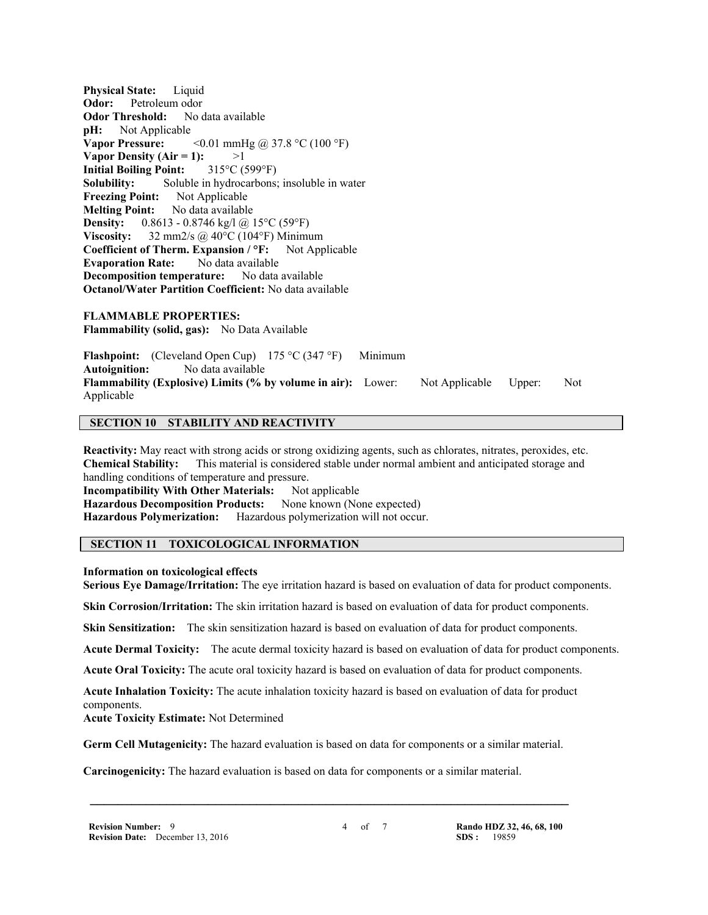**Physical State:** Liquid **Odor:** Petroleum odor **Odor Threshold:** No data available **pH:** Not Applicable **Vapor Pressure:** <0.01 mmHg @ 37.8 °C (100 °F) **Vapor Density (Air = 1):**  $>1$ **Initial Boiling Point:** 315°C (599°F) **Solubility:** Soluble in hydrocarbons; insoluble in water **Freezing Point:** Not Applicable **Melting Point:** No data available **Density:** 0.8613 - 0.8746 kg/l @ 15°C (59°F) **Viscosity:** 32 mm2/s @ 40°C (104°F) Minimum **Coefficient of Therm. Expansion / °F:** Not Applicable **Evaporation Rate:** No data available **Decomposition temperature:** No data available **Octanol/Water Partition Coefficient:** No data available

**FLAMMABLE PROPERTIES: Flammability (solid, gas):** No Data Available

**Flashpoint:** (Cleveland Open Cup) 175 °C (347 °F) Minimum **Autoignition:** No data available **Flammability (Explosive) Limits (% by volume in air):** Lower: Not Applicable Upper: Not Applicable

#### **SECTION 10 STABILITY AND REACTIVITY**

**Reactivity:** May react with strong acids or strong oxidizing agents, such as chlorates, nitrates, peroxides, etc. **Chemical Stability:** This material is considered stable under normal ambient and anticipated storage and handling conditions of temperature and pressure. **Incompatibility With Other Materials:** Not applicable **Hazardous Decomposition Products:** None known (None expected) **Hazardous Polymerization:** Hazardous polymerization will not occur.

#### **SECTION 11 TOXICOLOGICAL INFORMATION**

#### **Information on toxicological effects**

**Serious Eye Damage/Irritation:** The eye irritation hazard is based on evaluation of data for product components.

**Skin Corrosion/Irritation:** The skin irritation hazard is based on evaluation of data for product components.

**Skin Sensitization:** The skin sensitization hazard is based on evaluation of data for product components.

**Acute Dermal Toxicity:** The acute dermal toxicity hazard is based on evaluation of data for product components.

**Acute Oral Toxicity:** The acute oral toxicity hazard is based on evaluation of data for product components.

**Acute Inhalation Toxicity:** The acute inhalation toxicity hazard is based on evaluation of data for product components.

**Acute Toxicity Estimate:** Not Determined

**Germ Cell Mutagenicity:** The hazard evaluation is based on data for components or a similar material.

 **\_\_\_\_\_\_\_\_\_\_\_\_\_\_\_\_\_\_\_\_\_\_\_\_\_\_\_\_\_\_\_\_\_\_\_\_\_\_\_\_\_\_\_\_\_\_\_\_\_\_\_\_\_\_\_\_\_\_\_\_\_\_\_\_\_\_\_\_\_**

**Carcinogenicity:** The hazard evaluation is based on data for components or a similar material.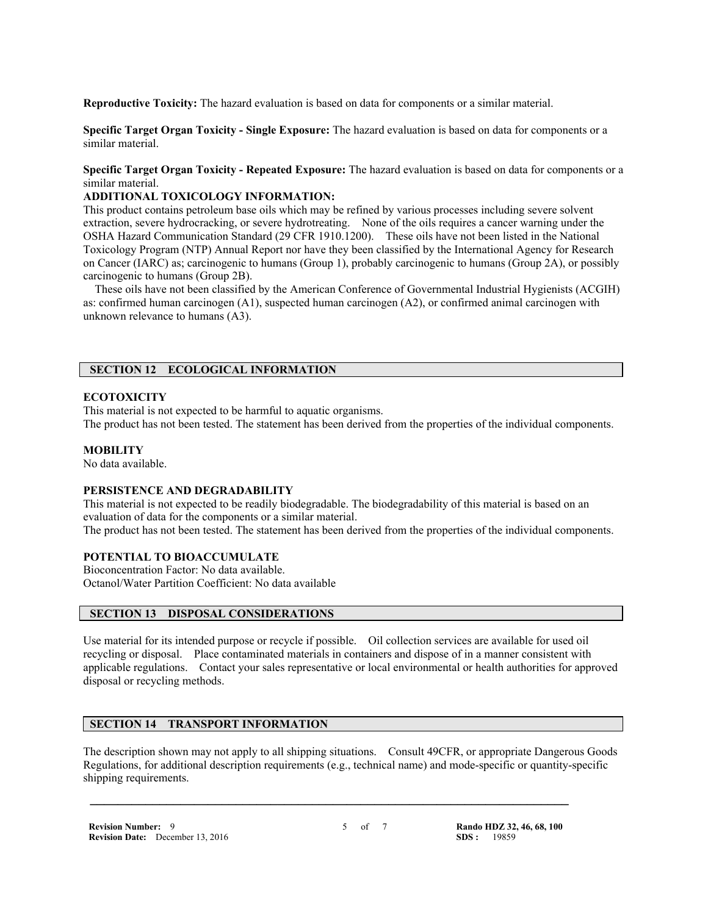**Reproductive Toxicity:** The hazard evaluation is based on data for components or a similar material.

**Specific Target Organ Toxicity - Single Exposure:** The hazard evaluation is based on data for components or a similar material.

**Specific Target Organ Toxicity - Repeated Exposure:** The hazard evaluation is based on data for components or a similar material.

#### **ADDITIONAL TOXICOLOGY INFORMATION:**

This product contains petroleum base oils which may be refined by various processes including severe solvent extraction, severe hydrocracking, or severe hydrotreating. None of the oils requires a cancer warning under the OSHA Hazard Communication Standard (29 CFR 1910.1200). These oils have not been listed in the National Toxicology Program (NTP) Annual Report nor have they been classified by the International Agency for Research on Cancer (IARC) as; carcinogenic to humans (Group 1), probably carcinogenic to humans (Group 2A), or possibly carcinogenic to humans (Group 2B).

 These oils have not been classified by the American Conference of Governmental Industrial Hygienists (ACGIH) as: confirmed human carcinogen (A1), suspected human carcinogen (A2), or confirmed animal carcinogen with unknown relevance to humans (A3).

# **SECTION 12 ECOLOGICAL INFORMATION**

#### **ECOTOXICITY**

This material is not expected to be harmful to aquatic organisms. The product has not been tested. The statement has been derived from the properties of the individual components.

# **MOBILITY**

No data available.

#### **PERSISTENCE AND DEGRADABILITY**

This material is not expected to be readily biodegradable. The biodegradability of this material is based on an evaluation of data for the components or a similar material.

The product has not been tested. The statement has been derived from the properties of the individual components.

#### **POTENTIAL TO BIOACCUMULATE**

Bioconcentration Factor: No data available. Octanol/Water Partition Coefficient: No data available

#### **SECTION 13 DISPOSAL CONSIDERATIONS**

Use material for its intended purpose or recycle if possible. Oil collection services are available for used oil recycling or disposal. Place contaminated materials in containers and dispose of in a manner consistent with applicable regulations. Contact your sales representative or local environmental or health authorities for approved disposal or recycling methods.

#### **SECTION 14 TRANSPORT INFORMATION**

The description shown may not apply to all shipping situations. Consult 49CFR, or appropriate Dangerous Goods Regulations, for additional description requirements (e.g., technical name) and mode-specific or quantity-specific shipping requirements.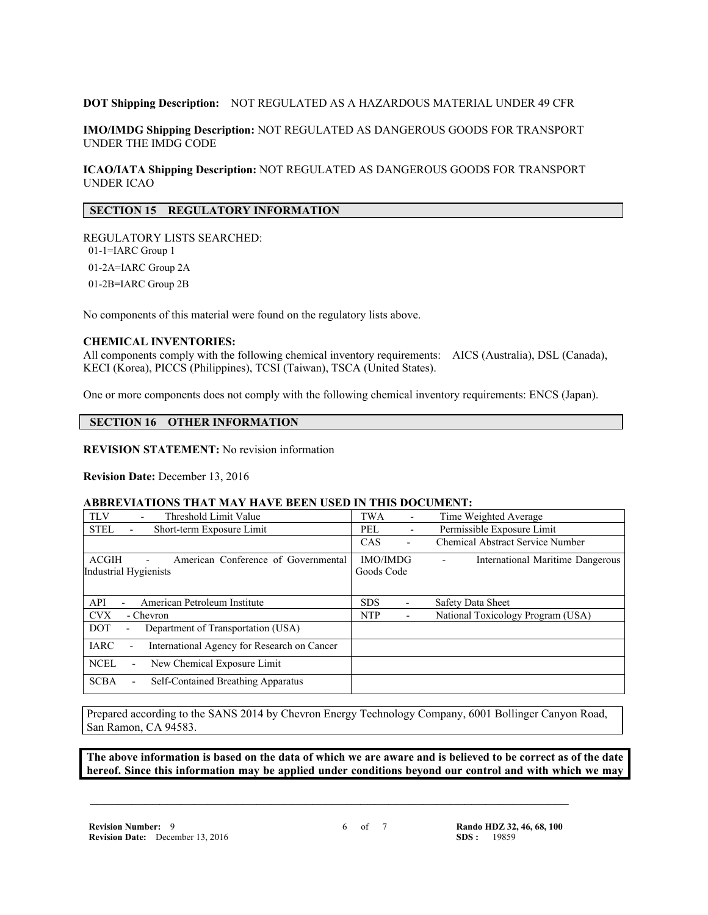#### **DOT Shipping Description:** NOT REGULATED AS A HAZARDOUS MATERIAL UNDER 49 CFR

**IMO/IMDG Shipping Description:** NOT REGULATED AS DANGEROUS GOODS FOR TRANSPORT UNDER THE IMDG CODE

**ICAO/IATA Shipping Description:** NOT REGULATED AS DANGEROUS GOODS FOR TRANSPORT UNDER ICAO

# **SECTION 15 REGULATORY INFORMATION**

REGULATORY LISTS SEARCHED: 01-1=IARC Group 1 01-2A=IARC Group 2A 01-2B=IARC Group 2B

No components of this material were found on the regulatory lists above.

#### **CHEMICAL INVENTORIES:**

All components comply with the following chemical inventory requirements: AICS (Australia), DSL (Canada), KECI (Korea), PICCS (Philippines), TCSI (Taiwan), TSCA (United States).

One or more components does not comply with the following chemical inventory requirements: ENCS (Japan).

# **SECTION 16 OTHER INFORMATION**

**REVISION STATEMENT:** No revision information

#### **Revision Date:** December 13, 2016

#### **ABBREVIATIONS THAT MAY HAVE BEEN USED IN THIS DOCUMENT:**

| <b>TLV</b><br>Threshold Limit Value<br>$\overline{\phantom{0}}$                     | TWA<br>$\overline{\phantom{a}}$ | Time Weighted Average             |  |
|-------------------------------------------------------------------------------------|---------------------------------|-----------------------------------|--|
| <b>STEL</b><br>Short-term Exposure Limit                                            | PEL<br>$\overline{\phantom{a}}$ | Permissible Exposure Limit        |  |
|                                                                                     | CAS                             | Chemical Abstract Service Number  |  |
| <b>ACGIH</b><br>American Conference of Governmental<br><b>Industrial Hygienists</b> | <b>IMO/IMDG</b><br>Goods Code   | International Maritime Dangerous  |  |
| API<br>American Petroleum Institute                                                 | <b>SDS</b>                      | Safety Data Sheet                 |  |
| <b>CVX</b><br>- Chevron                                                             | <b>NTP</b>                      | National Toxicology Program (USA) |  |
| Department of Transportation (USA)<br><b>DOT</b><br>$\overline{\phantom{a}}$        |                                 |                                   |  |
| <b>IARC</b><br>International Agency for Research on Cancer                          |                                 |                                   |  |
| <b>NCEL</b><br>New Chemical Exposure Limit                                          |                                 |                                   |  |
| <b>SCBA</b><br><b>Self-Contained Breathing Apparatus</b>                            |                                 |                                   |  |

Prepared according to the SANS 2014 by Chevron Energy Technology Company, 6001 Bollinger Canyon Road, San Ramon, CA 94583.

 **\_\_\_\_\_\_\_\_\_\_\_\_\_\_\_\_\_\_\_\_\_\_\_\_\_\_\_\_\_\_\_\_\_\_\_\_\_\_\_\_\_\_\_\_\_\_\_\_\_\_\_\_\_\_\_\_\_\_\_\_\_\_\_\_\_\_\_\_\_**

**The above information is based on the data of which we are aware and is believed to be correct as of the date hereof. Since this information may be applied under conditions beyond our control and with which we may**